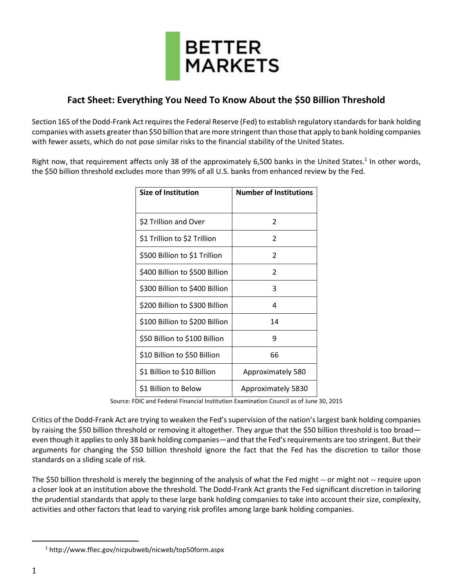

## **Fact Sheet: Everything You Need To Know About the \$50 Billion Threshold**

Section 165 of the Dodd-Frank Act requires the Federal Reserve (Fed) to establish regulatory standards for bank holding companies with assets greater than \$50 billion that are more stringent than those that apply to bank holding companies with fewer assets, which do not pose similar risks to the financial stability of the United States.

Right now, that requirement affects only 38 of the approximately 6,500 banks in the United States.<sup>1</sup> In other words, the \$50 billion threshold excludes more than 99% of all U.S. banks from enhanced review by the Fed.

| <b>Size of Institution</b>     | <b>Number of Institutions</b> |
|--------------------------------|-------------------------------|
|                                |                               |
| \$2 Trillion and Over          | $\mathfrak{p}$                |
| \$1 Trillion to \$2 Trillion   | 2                             |
| \$500 Billion to \$1 Trillion  | 2                             |
| \$400 Billion to \$500 Billion | $\mathcal{P}$                 |
| \$300 Billion to \$400 Billion | 3                             |
| \$200 Billion to \$300 Billion | 4                             |
| \$100 Billion to \$200 Billion | 14                            |
| \$50 Billion to \$100 Billion  | q                             |
| \$10 Billion to \$50 Billion   | 66                            |
| \$1 Billion to \$10 Billion    | Approximately 580             |
| \$1 Billion to Below           | Approximately 5830            |

Source: FDIC and Federal Financial Institution Examination Council as of June 30, 2015

Critics of the Dodd-Frank Act are trying to weaken the Fed's supervision of the nation's largest bank holding companies by raising the \$50 billion threshold or removing it altogether. They argue that the \$50 billion threshold is too broad even though it applies to only 38 bank holding companies—and that the Fed's requirements are too stringent. But their arguments for changing the \$50 billion threshold ignore the fact that the Fed has the discretion to tailor those standards on a sliding scale of risk.

The \$50 billion threshold is merely the beginning of the analysis of what the Fed might -- or might not -- require upon a closer look at an institution above the threshold. The Dodd-Frank Act grants the Fed significant discretion in tailoring the prudential standards that apply to these large bank holding companies to take into account their size, complexity, activities and other factors that lead to varying risk profiles among large bank holding companies.

 $\overline{a}$ 

<sup>1</sup> http://www.ffiec.gov/nicpubweb/nicweb/top50form.aspx